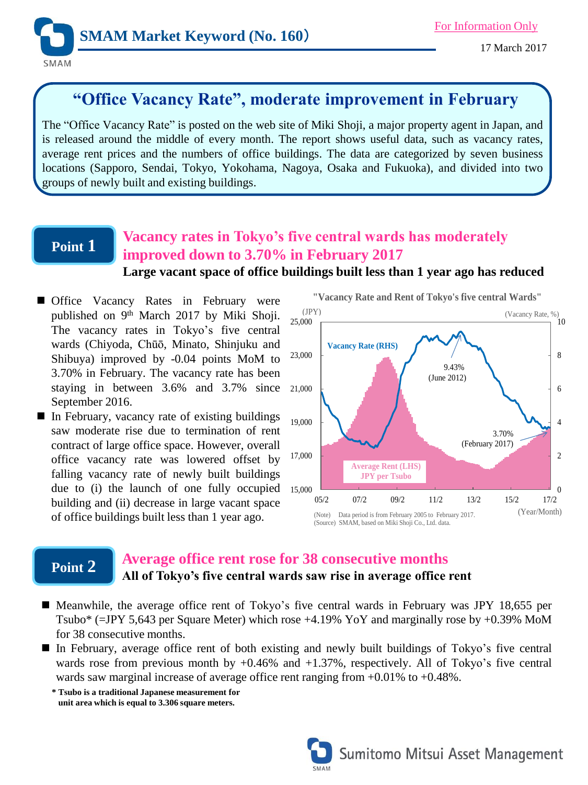

# **"Office Vacancy Rate", moderate improvement in February**

The "Office Vacancy Rate" is posted on the web site of Miki Shoji, a major property agent in Japan, and is released around the middle of every month. The report shows useful data, such as vacancy rates, average rent prices and the numbers of office buildings. The data are categorized by seven business locations (Sapporo, Sendai, Tokyo, Yokohama, Nagoya, Osaka and Fukuoka), and divided into two groups of newly built and existing buildings.

# **Point 1**

# **Vacancy rates in Tokyo's five central wards has moderately improved down to 3.70% in February 2017**

**Large vacant space of office buildings built less than 1 year ago has reduced**

- staying in between  $3.6\%$  and  $3.7\%$  since  $21,000$ **Office Vacancy Rates in February were** published on 9<sup>th</sup> March 2017 by Miki Shoji. The vacancy rates in Tokyo's five central wards (Chiyoda, Chūō, Minato, Shinjuku and Shibuya) improved by -0.04 points MoM to 3.70% in February. The vacancy rate has been September 2016.
- $\blacksquare$  In February, vacancy rate of existing buildings saw moderate rise due to termination of rent contract of large office space. However, overall office vacancy rate was lowered offset by falling vacancy rate of newly built buildings due to (i) the launch of one fully occupied building and (ii) decrease in large vacant space of office buildings built less than 1 year ago.



## **Point 2**

## **Average office rent rose for 38 consecutive months All of Tokyo's five central wards saw rise in average office rent**

- Meanwhile, the average office rent of Tokyo's five central wards in February was JPY 18,655 per Tsubo\* (=JPY 5,643 per Square Meter) which rose +4.19% YoY and marginally rose by +0.39% MoM for 38 consecutive months.
- In February, average office rent of both existing and newly built buildings of Tokyo's five central wards rose from previous month by +0.46% and +1.37%, respectively. All of Tokyo's five central wards saw marginal increase of average office rent ranging from  $+0.01\%$  to  $+0.48\%$ .

**\* Tsubo is a traditional Japanese measurement for unit area which is equal to 3.306 square meters.**